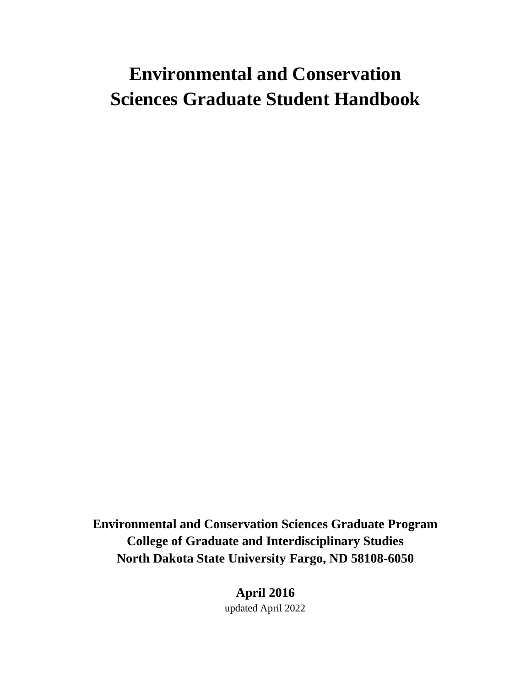# **Environmental and Conservation Sciences Graduate Student Handbook**

**Environmental and Conservation Sciences Graduate Program College of Graduate and Interdisciplinary Studies North Dakota State University Fargo, ND 58108-6050**

> **April 2016** updated April 2022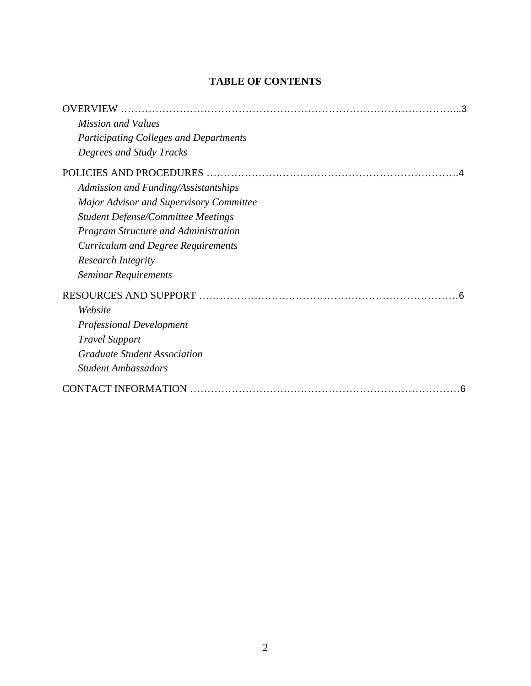# **TABLE OF CONTENTS**

| <b>OVERVIEW</b>                                |
|------------------------------------------------|
| <b>Mission and Values</b>                      |
| <b>Participating Colleges and Departments</b>  |
| Degrees and Study Tracks                       |
|                                                |
| Admission and Funding/Assistantships           |
| <b>Major Advisor and Supervisory Committee</b> |
| <b>Student Defense/Committee Meetings</b>      |
| <b>Program Structure and Administration</b>    |
| <b>Curriculum and Degree Requirements</b>      |
| <b>Research Integrity</b>                      |
| Seminar Requirements                           |
|                                                |
| Website                                        |
| <b>Professional Development</b>                |
| <b>Travel Support</b>                          |
| <b>Graduate Student Association</b>            |
| <b>Student Ambassadors</b>                     |
| <b>CONTACT INFORMATION</b>                     |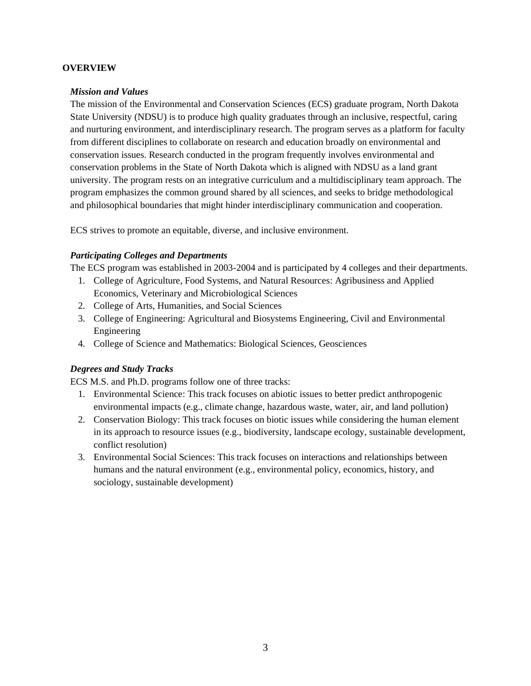#### <span id="page-2-0"></span>**OVERVIEW**

#### <span id="page-2-1"></span>*Mission and Values*

The mission of the Environmental and Conservation Sciences (ECS) graduate program, North Dakota State University (NDSU) is to produce high quality graduates through an inclusive, respectful, caring and nurturing environment, and interdisciplinary research. The program serves as a platform for faculty from different disciplines to collaborate on research and education broadly on environmental and conservation issues. Research conducted in the program frequently involves environmental and conservation problems in the State of North Dakota which is aligned with NDSU as a land grant university. The program rests on an integrative curriculum and a multidisciplinary team approach. The program emphasizes the common ground shared by all sciences, and seeks to bridge methodological and philosophical boundaries that might hinder interdisciplinary communication and cooperation.

ECS strives to promote an equitable, diverse, and inclusive environment.

#### <span id="page-2-2"></span>*Participating Colleges and Departments*

The ECS program was established in 2003-2004 and is participated by 4 colleges and their departments.

- 1. College of Agriculture, Food Systems, and Natural Resources: Agribusiness and Applied Economics, Veterinary and Microbiological Sciences
- 2. College of Arts, Humanities, and Social Sciences
- 3. College of Engineering: Agricultural and Biosystems Engineering, Civil and Environmental Engineering
- 4. College of Science and Mathematics: Biological Sciences, Geosciences

#### <span id="page-2-3"></span>*Degrees and Study Tracks*

ECS M.S. and Ph.D. programs follow one of three tracks:

- 1. Environmental Science: This track focuses on abiotic issues to better predict anthropogenic environmental impacts (e.g., climate change, hazardous waste, water, air, and land pollution)
- 2. Conservation Biology: This track focuses on biotic issues while considering the human element in its approach to resource issues (e.g., biodiversity, landscape ecology, sustainable development, conflict resolution)
- 3. Environmental Social Sciences: This track focuses on interactions and relationships between humans and the natural environment (e.g., environmental policy, economics, history, and sociology, sustainable development)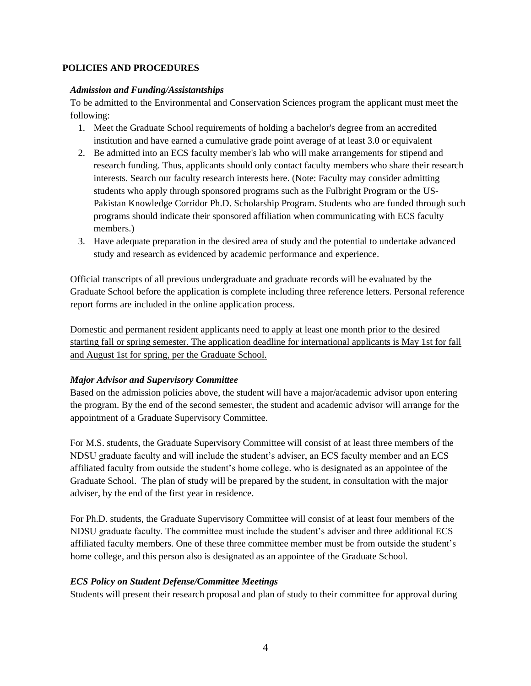#### <span id="page-3-0"></span>**POLICIES AND PROCEDURES**

# <span id="page-3-1"></span>*Admission and Funding/Assistantships*

To be admitted to the Environmental and Conservation Sciences program the applicant must meet the following:

- 1. Meet the Graduate School requirements of holding a bachelor's degree from an accredited institution and have earned a cumulative grade point average of at least 3.0 or equivalent
- 2. Be admitted into an ECS faculty member's lab who will make arrangements for stipend and research funding. Thus, applicants should only contact faculty members who share their research interests. Search our faculty research interests here. (Note: Faculty may consider admitting students who apply through sponsored programs such as the Fulbright Program or the US-Pakistan Knowledge Corridor Ph.D. Scholarship Program. Students who are funded through such programs should indicate their sponsored affiliation when communicating with ECS faculty members.)
- 3. Have adequate preparation in the desired area of study and the potential to undertake advanced study and research as evidenced by academic performance and experience.

Official transcripts of all previous undergraduate and graduate records will be evaluated by the Graduate School before the application is complete including three reference letters. Personal reference report forms are included in the online application process.

Domestic and permanent resident applicants need to apply at least one month prior to the desired starting fall or spring semester. The application deadline for international applicants is May 1st for fall and August 1st for spring, per the Graduate School.

# <span id="page-3-2"></span>*Major Advisor and Supervisory Committee*

Based on the admission policies above, the student will have a major/academic advisor upon entering the program. By the end of the second semester, the student and academic advisor will arrange for the appointment of a Graduate Supervisory Committee.

For M.S. students, the Graduate Supervisory Committee will consist of at least three members of the NDSU graduate faculty and will include the student's adviser, an ECS faculty member and an ECS affiliated faculty from outside the student's home college. who is designated as an appointee of the Graduate School. The plan of study will be prepared by the student, in consultation with the major adviser, by the end of the first year in residence.

For Ph.D. students, the Graduate Supervisory Committee will consist of at least four members of the NDSU graduate faculty. The committee must include the student's adviser and three additional ECS affiliated faculty members. One of these three committee member must be from outside the student's home college, and this person also is designated as an appointee of the Graduate School.

# *ECS Policy on Student Defense/Committee Meetings*

Students will present their research proposal and plan of study to their committee for approval during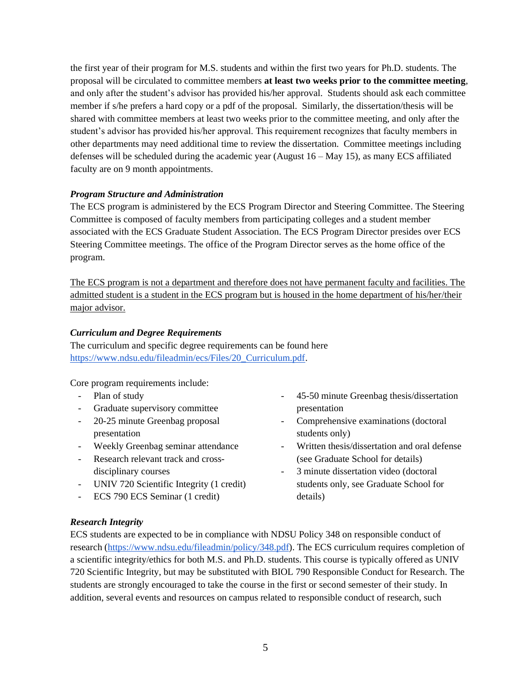the first year of their program for M.S. students and within the first two years for Ph.D. students. The proposal will be circulated to committee members **at least two weeks prior to the committee meeting**, and only after the student's advisor has provided his/her approval. Students should ask each committee member if s/he prefers a hard copy or a pdf of the proposal. Similarly, the dissertation/thesis will be shared with committee members at least two weeks prior to the committee meeting, and only after the student's advisor has provided his/her approval. This requirement recognizes that faculty members in other departments may need additional time to review the dissertation. Committee meetings including defenses will be scheduled during the academic year (August 16 – May 15), as many ECS affiliated faculty are on 9 month appointments.

# <span id="page-4-0"></span>*Program Structure and Administration*

The ECS program is administered by the ECS Program Director and Steering Committee. The Steering Committee is composed of faculty members from participating colleges and a student member associated with the ECS Graduate Student Association. The ECS Program Director presides over ECS Steering Committee meetings. The office of the Program Director serves as the home office of the program.

The ECS program is not a department and therefore does not have permanent faculty and facilities. The admitted student is a student in the ECS program but is housed in the home department of his/her/their major advisor.

#### <span id="page-4-1"></span>*Curriculum and Degree Requirements*

The curriculum and specific degree requirements can be found here [https://www.ndsu.edu/fileadmin/ecs/Files/20\\_Curriculum.pdf.](https://www.ndsu.edu/fileadmin/ecs/Files/20_Curriculum.pdf)

Core program requirements include:

- Plan of study
- Graduate supervisory committee
- 20-25 minute Greenbag proposal presentation
- Weekly Greenbag seminar attendance
- Research relevant track and crossdisciplinary courses
- UNIV 720 Scientific Integrity (1 credit)
- ECS 790 ECS Seminar (1 credit)
- 45-50 minute Greenbag thesis/dissertation presentation
- Comprehensive examinations (doctoral students only)
- Written thesis/dissertation and oral defense (see Graduate School for details)
- 3 minute dissertation video (doctoral students only, see Graduate School for details)

# <span id="page-4-2"></span>*Research Integrity*

ECS students are expected to be in compliance with NDSU Policy 348 on responsible conduct of research [\(https://www.ndsu.edu/fileadmin/policy/348.pdf\)](https://www.ndsu.edu/fileadmin/policy/348.pdf). The ECS curriculum requires completion of a scientific integrity/ethics for both M.S. and Ph.D. students. This course is typically offered as UNIV 720 Scientific Integrity, but may be substituted with BIOL 790 Responsible Conduct for Research. The students are strongly encouraged to take the course in the first or second semester of their study. In addition, several events and resources on campus related to responsible conduct of research, such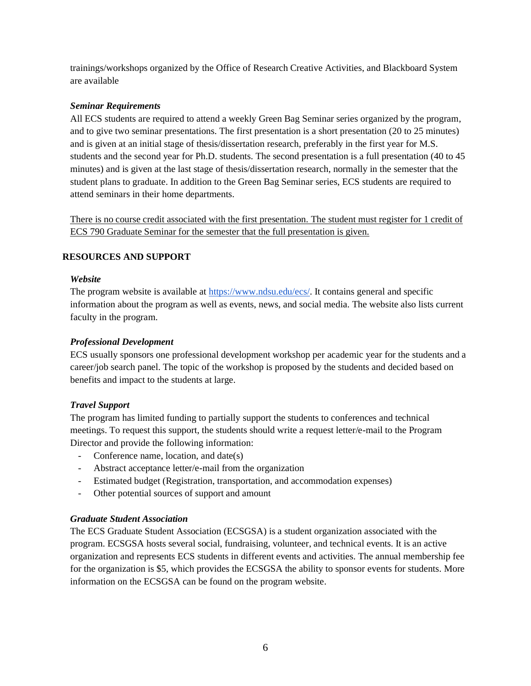trainings/workshops organized by the Office of Research Creative Activities, and Blackboard System are available

# <span id="page-5-0"></span>*Seminar Requirements*

All ECS students are required to attend a weekly Green Bag Seminar series organized by the program, and to give two seminar presentations. The first presentation is a short presentation (20 to 25 minutes) and is given at an initial stage of thesis/dissertation research, preferably in the first year for M.S. students and the second year for Ph.D. students. The second presentation is a full presentation (40 to 45 minutes) and is given at the last stage of thesis/dissertation research, normally in the semester that the student plans to graduate. In addition to the Green Bag Seminar series, ECS students are required to attend seminars in their home departments.

There is no course credit associated with the first presentation. The student must register for 1 credit of ECS 790 Graduate Seminar for the semester that the full presentation is given.

# <span id="page-5-1"></span>**RESOURCES AND SUPPORT**

# <span id="page-5-2"></span>*Website*

The program website is available a[t https://www.ndsu.edu/ecs/.](https://www.ndsu.edu/ecs/) It contains general and specific information about the program as well as events, news, and social media. The website also lists current faculty in the program.

# <span id="page-5-3"></span>*Professional Development*

ECS usually sponsors one professional development workshop per academic year for the students and a career/job search panel. The topic of the workshop is proposed by the students and decided based on benefits and impact to the students at large.

# <span id="page-5-4"></span>*Travel Support*

The program has limited funding to partially support the students to conferences and technical meetings. To request this support, the students should write a request letter/e-mail to the Program Director and provide the following information:

- Conference name, location, and date(s)
- Abstract acceptance letter/e-mail from the organization
- Estimated budget (Registration, transportation, and accommodation expenses)
- Other potential sources of support and amount

#### <span id="page-5-5"></span>*Graduate Student Association*

The ECS Graduate Student Association (ECSGSA) is a student organization associated with the program. ECSGSA hosts several social, fundraising, volunteer, and technical events. It is an active organization and represents ECS students in different events and activities. The annual membership fee for the organization is \$5, which provides the ECSGSA the ability to sponsor events for students. More information on the ECSGSA can be found on the program website.